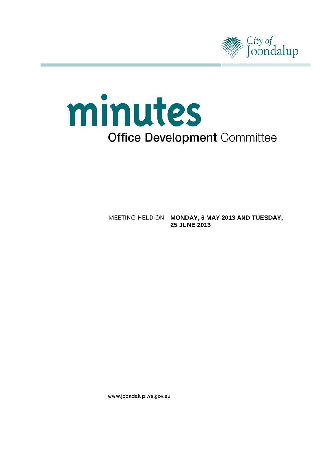

# minutes **Office Development Committee**

**MEETING HELD ON MONDAY, 6 MAY 2013 AND TUESDAY, 25 JUNE 2013**

www.joondalup.wa.gov.au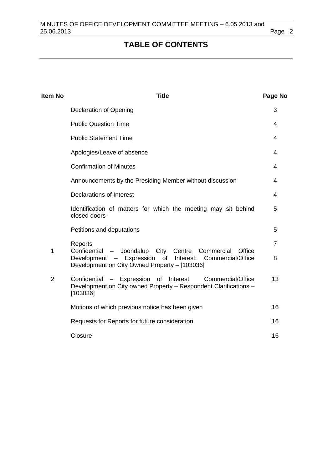# **TABLE OF CONTENTS**

| Item No        | <b>Title</b>                                                                                                                                   | Page No        |
|----------------|------------------------------------------------------------------------------------------------------------------------------------------------|----------------|
|                | <b>Declaration of Opening</b>                                                                                                                  | 3              |
|                | <b>Public Question Time</b>                                                                                                                    | 4              |
|                | <b>Public Statement Time</b>                                                                                                                   | 4              |
|                | Apologies/Leave of absence                                                                                                                     | 4              |
|                | <b>Confirmation of Minutes</b>                                                                                                                 | 4              |
|                | Announcements by the Presiding Member without discussion                                                                                       | 4              |
|                | <b>Declarations of Interest</b>                                                                                                                | 4              |
|                | Identification of matters for which the meeting may sit behind<br>closed doors                                                                 | 5              |
|                | Petitions and deputations                                                                                                                      | 5              |
| 1              | Reports<br>- Joondalup City Centre<br>Commercial<br>Office<br>Confidential                                                                     | $\overline{7}$ |
|                | Development - Expression<br>of<br>Interest:<br>Commercial/Office<br>Development on City Owned Property - [103036]                              | 8              |
| $\overline{2}$ | Confidential<br>- Expression of Interest:<br>Commercial/Office<br>Development on City owned Property - Respondent Clarifications -<br>[103036] | 13             |
|                | Motions of which previous notice has been given                                                                                                | 16             |
|                | Requests for Reports for future consideration                                                                                                  | 16             |
|                | Closure                                                                                                                                        | 16             |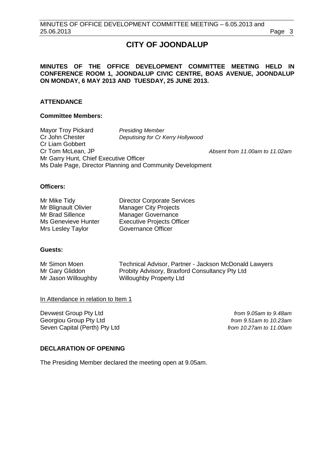# **CITY OF JOONDALUP**

# **MINUTES OF THE OFFICE DEVELOPMENT COMMITTEE MEETING HELD IN CONFERENCE ROOM 1, JOONDALUP CIVIC CENTRE, BOAS AVENUE, JOONDALUP ON MONDAY, 6 MAY 2013 AND TUESDAY, 25 JUNE 2013.**

# **ATTENDANCE**

# **Committee Members:**

Mayor Troy Pickard *Presiding Member* **Deputising for Cr Kerry Hollywood** Cr Liam Gobbert<br>Cr Tom McLean, JP Absent from 11.00am to 11.02am Mr Garry Hunt, Chief Executive Officer Ms Dale Page, Director Planning and Community Development

# **Officers:**

Mrs Lesley Taylor

Mr Mike Tidy<br>
Mr Blianault Olivier
Manager City Projects<br>
Manager City Projects Manager City Projects Mr Brad Sillence Manager Governance Ms Genevieve Hunter<br>
Mrs Lesley Taylor<br>
Governance Officer

# **Guests:**

Mr Simon Moen Technical Advisor, Partner - Jackson McDonald Lawyers<br>Mr Gary Gliddon Probity Advisory, Braxford Consultancy Pty Ltd Probity Advisory, Braxford Consultancy Pty Ltd Mr Jason Willoughby Willoughby Property Ltd

# In Attendance in relation to Item 1

Devwest Group Pty Ltd *from 9.05am to 9.48am* Georgiou Group Pty Ltd *from 9.51am to 10.23am* Seven Capital (Perth) Pty Ltd *from 10.27am to 11.00am*

# <span id="page-2-0"></span>**DECLARATION OF OPENING**

The Presiding Member declared the meeting open at 9.05am.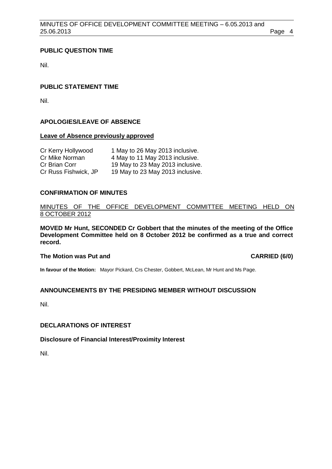# <span id="page-3-0"></span>**PUBLIC QUESTION TIME**

Nil.

# <span id="page-3-1"></span>**PUBLIC STATEMENT TIME**

Nil.

# <span id="page-3-2"></span>**APOLOGIES/LEAVE OF ABSENCE**

#### **Leave of Absence previously approved**

| Cr Kerry Hollywood   | 1 May to 26 May 2013 inclusive.  |
|----------------------|----------------------------------|
| Cr Mike Norman       | 4 May to 11 May 2013 inclusive.  |
| Cr Brian Corr        | 19 May to 23 May 2013 inclusive. |
| Cr Russ Fishwick, JP | 19 May to 23 May 2013 inclusive. |

# <span id="page-3-3"></span>**CONFIRMATION OF MINUTES**

# MINUTES OF THE OFFICE DEVELOPMENT COMMITTEE MEETING HELD ON 8 OCTOBER 2012

**MOVED Mr Hunt, SECONDED Cr Gobbert that the minutes of the meeting of the Office Development Committee held on 8 October 2012 be confirmed as a true and correct record.**

# **The Motion was Put and CARRIED (6/0)**

**In favour of the Motion:** Mayor Pickard, Crs Chester, Gobbert, McLean, Mr Hunt and Ms Page.

# <span id="page-3-4"></span>**ANNOUNCEMENTS BY THE PRESIDING MEMBER WITHOUT DISCUSSION**

Nil.

# <span id="page-3-5"></span>**DECLARATIONS OF INTEREST**

# **Disclosure of Financial Interest/Proximity Interest**

Nil.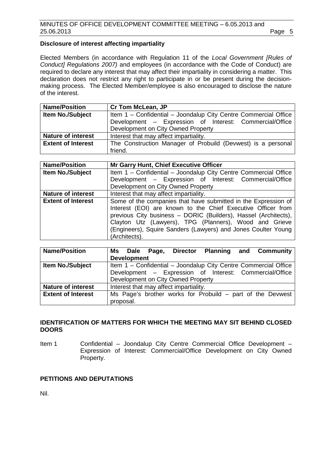# **Disclosure of interest affecting impartiality**

Elected Members (in accordance with Regulation 11 of the *Local Government [Rules of Conduct] Regulations 2007)* and employees (in accordance with the Code of Conduct) are required to declare any interest that may affect their impartiality in considering a matter. This declaration does not restrict any right to participate in or be present during the decisionmaking process. The Elected Member/employee is also encouraged to disclose the nature of the interest.

| <b>Name/Position</b>      | <b>Cr Tom McLean, JP</b>                                        |  |
|---------------------------|-----------------------------------------------------------------|--|
| <b>Item No./Subject</b>   | Item 1 - Confidential - Joondalup City Centre Commercial Office |  |
|                           | Development - Expression of Interest: Commercial/Office         |  |
|                           | Development on City Owned Property                              |  |
| <b>Nature of interest</b> | Interest that may affect impartiality.                          |  |
| <b>Extent of Interest</b> | The Construction Manager of Probuild (Devwest) is a personal    |  |
|                           | friend.                                                         |  |

| <b>Name/Position</b>      | Mr Garry Hunt, Chief Executive Officer                                                                                                                                                                                                                                                                                                        |  |  |
|---------------------------|-----------------------------------------------------------------------------------------------------------------------------------------------------------------------------------------------------------------------------------------------------------------------------------------------------------------------------------------------|--|--|
| Item No./Subject          | Item 1 - Confidential - Joondalup City Centre Commercial Office                                                                                                                                                                                                                                                                               |  |  |
|                           | Development - Expression of Interest: Commercial/Office                                                                                                                                                                                                                                                                                       |  |  |
|                           | Development on City Owned Property                                                                                                                                                                                                                                                                                                            |  |  |
| <b>Nature of interest</b> | Interest that may affect impartiality.                                                                                                                                                                                                                                                                                                        |  |  |
| <b>Extent of Interest</b> | Some of the companies that have submitted in the Expression of<br>Interest (EOI) are known to the Chief Executive Officer from<br>previous City business - DORIC (Builders), Hassel (Architects),<br>Clayton Utz (Lawyers), TPG (Planners), Wood and Grieve<br>(Engineers), Squire Sanders (Lawyers) and Jones Coulter Young<br>(Architects). |  |  |

| <b>Name/Position</b>      | Ms Dale Page, Director Planning and Community                   |  |  |
|---------------------------|-----------------------------------------------------------------|--|--|
|                           | <b>Development</b>                                              |  |  |
| <b>Item No./Subject</b>   | Item 1 - Confidential - Joondalup City Centre Commercial Office |  |  |
|                           | Development - Expression of Interest: Commercial/Office         |  |  |
|                           | Development on City Owned Property                              |  |  |
| <b>Nature of interest</b> | Interest that may affect impartiality.                          |  |  |
| <b>Extent of Interest</b> | Ms Page's brother works for Probuild – part of the Devwest      |  |  |
|                           | proposal.                                                       |  |  |

# <span id="page-4-0"></span>**IDENTIFICATION OF MATTERS FOR WHICH THE MEETING MAY SIT BEHIND CLOSED DOORS**

Item 1 Confidential – Joondalup City Centre Commercial Office Development – Expression of Interest: Commercial/Office Development on City Owned Property.

# <span id="page-4-1"></span>**PETITIONS AND DEPUTATIONS**

Nil.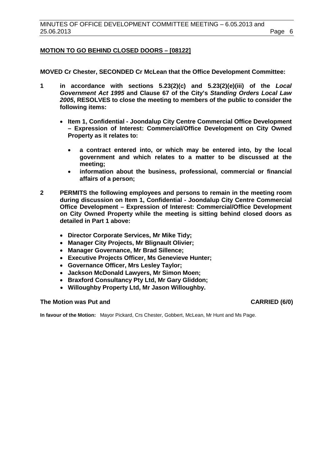# **MOTION TO GO BEHIND CLOSED DOORS – [08122]**

**MOVED Cr Chester, SECONDED Cr McLean that the Office Development Committee:**

- **1 in accordance with sections 5.23(2)(c) and 5.23(2)(e)(iii) of the** *Local Government Act 1995* **and Clause 67 of the City's** *Standing Orders Local Law 2005***, RESOLVES to close the meeting to members of the public to consider the following items:**
	- **Item 1, Confidential - Joondalup City Centre Commercial Office Development – Expression of Interest: Commercial/Office Development on City Owned Property as it relates to:**
		- **a contract entered into, or which may be entered into, by the local government and which relates to a matter to be discussed at the meeting;**
		- **information about the business, professional, commercial or financial affairs of a person;**
- **2 PERMITS the following employees and persons to remain in the meeting room during discussion on Item 1, Confidential - Joondalup City Centre Commercial Office Development – Expression of Interest: Commercial/Office Development on City Owned Property while the meeting is sitting behind closed doors as detailed in Part 1 above:**
	- **Director Corporate Services, Mr Mike Tidy;**
	- **Manager City Projects, Mr Blignault Olivier;**
	- **Manager Governance, Mr Brad Sillence;**
	- **Executive Projects Officer, Ms Genevieve Hunter;**
	- **Governance Officer, Mrs Lesley Taylor;**
	- **Jackson McDonald Lawyers, Mr Simon Moen;**
	- **Braxford Consultancy Pty Ltd, Mr Gary Gliddon;**
	- **Willoughby Property Ltd, Mr Jason Willoughby.**

# **The Motion was Put and CARRIED (6/0)**

**In favour of the Motion:** Mayor Pickard, Crs Chester, Gobbert, McLean, Mr Hunt and Ms Page.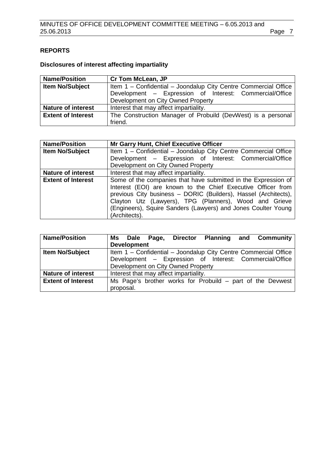# <span id="page-6-0"></span>**REPORTS**

# **Disclosures of interest affecting impartiality**

| <b>Name/Position</b>      | <b>Cr Tom McLean, JP</b>                                        |
|---------------------------|-----------------------------------------------------------------|
| <b>Item No/Subject</b>    | Item 1 - Confidential - Joondalup City Centre Commercial Office |
|                           | Development - Expression of Interest: Commercial/Office         |
|                           | Development on City Owned Property                              |
| <b>Nature of interest</b> | Interest that may affect impartiality.                          |
| <b>Extent of Interest</b> | The Construction Manager of Probuild (DevWest) is a personal    |
|                           | friend.                                                         |

| <b>Name/Position</b>      | Mr Garry Hunt, Chief Executive Officer                                                                                                                                                                                                                                                                                                        |
|---------------------------|-----------------------------------------------------------------------------------------------------------------------------------------------------------------------------------------------------------------------------------------------------------------------------------------------------------------------------------------------|
| Item No/Subject           | Item 1 - Confidential - Joondalup City Centre Commercial Office                                                                                                                                                                                                                                                                               |
|                           | Development - Expression of Interest: Commercial/Office                                                                                                                                                                                                                                                                                       |
|                           | Development on City Owned Property                                                                                                                                                                                                                                                                                                            |
| <b>Nature of interest</b> | Interest that may affect impartiality.                                                                                                                                                                                                                                                                                                        |
| <b>Extent of Interest</b> | Some of the companies that have submitted in the Expression of<br>Interest (EOI) are known to the Chief Executive Officer from<br>previous City business - DORIC (Builders), Hassel (Architects),<br>Clayton Utz (Lawyers), TPG (Planners), Wood and Grieve<br>(Engineers), Squire Sanders (Lawyers) and Jones Coulter Young<br>(Architects). |

| <b>Name/Position</b>      | Page, Director Planning and Community<br>Ms Dale                |  |  |
|---------------------------|-----------------------------------------------------------------|--|--|
|                           | <b>Development</b>                                              |  |  |
| Item No/Subject           | Item 1 - Confidential - Joondalup City Centre Commercial Office |  |  |
|                           | Development - Expression of Interest: Commercial/Office         |  |  |
|                           | Development on City Owned Property                              |  |  |
| <b>Nature of interest</b> | Interest that may affect impartiality.                          |  |  |
| <b>Extent of Interest</b> | Ms Page's brother works for Probuild – part of the Devwest      |  |  |
|                           | proposal.                                                       |  |  |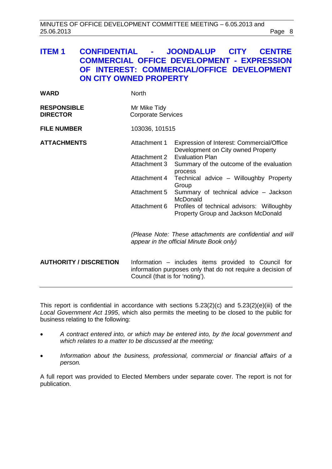# <span id="page-7-0"></span>**ITEM 1 CONFIDENTIAL - JOONDALUP CITY CENTRE COMMERCIAL OFFICE DEVELOPMENT - EXPRESSION OF INTEREST: COMMERCIAL/OFFICE DEVELOPMENT ON CITY OWNED PROPERTY**

| <b>WARD</b>                           | <b>North</b>                                                                                 |                                                                                                                                                                                                                                                                                                                                                               |  |
|---------------------------------------|----------------------------------------------------------------------------------------------|---------------------------------------------------------------------------------------------------------------------------------------------------------------------------------------------------------------------------------------------------------------------------------------------------------------------------------------------------------------|--|
| <b>RESPONSIBLE</b><br><b>DIRECTOR</b> | Mr Mike Tidy<br><b>Corporate Services</b>                                                    |                                                                                                                                                                                                                                                                                                                                                               |  |
| <b>FILE NUMBER</b>                    | 103036, 101515                                                                               |                                                                                                                                                                                                                                                                                                                                                               |  |
| <b>ATTACHMENTS</b>                    | Attachment 1<br>Attachment 2<br>Attachment 3<br>Attachment 4<br>Attachment 5<br>Attachment 6 | Expression of Interest: Commercial/Office<br>Development on City owned Property<br><b>Evaluation Plan</b><br>Summary of the outcome of the evaluation<br>process<br>Technical advice - Willoughby Property<br>Group<br>Summary of technical advice - Jackson<br>McDonald<br>Profiles of technical advisors: Willoughby<br>Property Group and Jackson McDonald |  |
|                                       |                                                                                              | (Please Note: These attachments are confidential and will<br>appear in the official Minute Book only)                                                                                                                                                                                                                                                         |  |
| <b>AUTHORITY / DISCRETION</b>         | Council (that is for 'noting').                                                              | Information – includes items provided to Council for<br>information purposes only that do not require a decision of                                                                                                                                                                                                                                           |  |

This report is confidential in accordance with sections 5.23(2)(c) and 5.23(2)(e)(iii) of the *Local Government Act 1995*, which also permits the meeting to be closed to the public for business relating to the following:

- *A contract entered into, or which may be entered into, by the local government and which relates to a matter to be discussed at the meeting;*
- *Information about the business, professional, commercial or financial affairs of a person.*

A full report was provided to Elected Members under separate cover. The report is not for publication.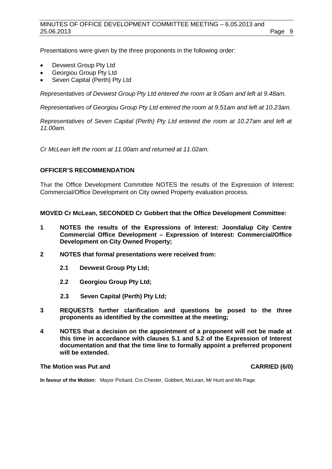Presentations were given by the three proponents in the following order:

- Devwest Group Pty Ltd
- Georgiou Group Pty Ltd
- Seven Capital (Perth) Pty Ltd

*Representatives of Devwest Group Pty Ltd entered the room at 9.05am and left at 9.48am.*

*Representatives of Georgiou Group Pty Ltd entered the room at 9.51am and left at 10.23am.*

*Representatives of Seven Capital (Perth) Pty Ltd entered the room at 10.27am and left at 11.00am.*

*Cr McLean left the room at 11.00am and returned at 11.02am.*

# **OFFICER'S RECOMMENDATION**

That the Office Development Committee NOTES the results of the Expression of Interest: Commercial/Office Development on City owned Property evaluation process.

**MOVED Cr McLean, SECONDED Cr Gobbert that the Office Development Committee:**

- **1 NOTES the results of the Expressions of Interest: Joondalup City Centre Commercial Office Development – Expression of Interest: Commercial/Office Development on City Owned Property;**
- **2 NOTES that formal presentations were received from:**
	- **2.1 Devwest Group Pty Ltd;**
	- **2.2 Georgiou Group Pty Ltd;**
	- **2.3 Seven Capital (Perth) Pty Ltd;**
- **3 REQUESTS further clarification and questions be posed to the three proponents as identified by the committee at the meeting;**
- **4 NOTES that a decision on the appointment of a proponent will not be made at this time in accordance with clauses 5.1 and 5.2 of the Expression of Interest documentation and that the time line to formally appoint a preferred proponent will be extended.**

# **The Motion was Put and CARRIED (6/0)**

**In favour of the Motion:** Mayor Pickard, Crs Chester, Gobbert, McLean, Mr Hunt and Ms Page.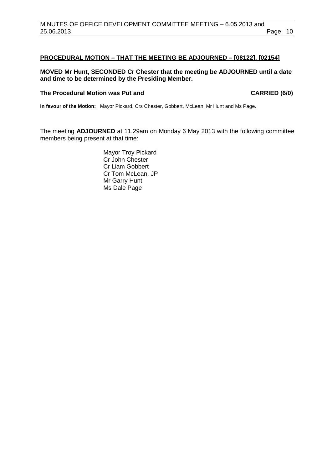# **PROCEDURAL MOTION – THAT THE MEETING BE ADJOURNED – [08122], [02154]**

# **MOVED Mr Hunt, SECONDED Cr Chester that the meeting be ADJOURNED until a date and time to be determined by the Presiding Member.**

# The Procedural Motion was Put and **CARRIED (6/0)**

**In favour of the Motion:** Mayor Pickard, Crs Chester, Gobbert, McLean, Mr Hunt and Ms Page.

The meeting **ADJOURNED** at 11.29am on Monday 6 May 2013 with the following committee members being present at that time:

> Mayor Troy Pickard Cr John Chester Cr Liam Gobbert Cr Tom McLean, JP Mr Garry Hunt Ms Dale Page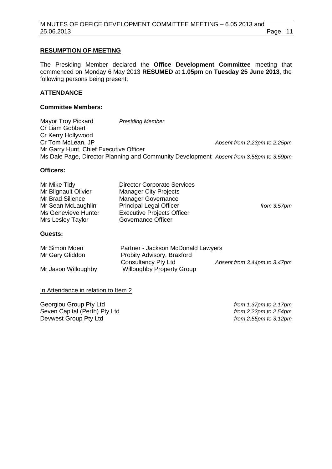# **RESUMPTION OF MEETING**

The Presiding Member declared the **Office Development Committee** meeting that commenced on Monday 6 May 2013 **RESUMED** at **1.05pm** on **Tuesday 25 June 2013**, the following persons being present:

# **ATTENDANCE**

# **Committee Members:**

Mayor Troy Pickard *Presiding Member* Cr Liam Gobbert Cr Kerry Hollywood Cr Tom McLean, JP *Absent from 2.23pm to 2.25pm* Mr Garry Hunt, Chief Executive Officer Ms Dale Page, Director Planning and Community Development *Absent from 3.58pm to 3.59pm*

# **Officers:**

| Mr Mike Tidy         | <b>Director Corporate Services</b> |                |
|----------------------|------------------------------------|----------------|
| Mr Blignault Olivier | <b>Manager City Projects</b>       |                |
| Mr Brad Sillence     | <b>Manager Governance</b>          |                |
| Mr Sean McLaughlin   | <b>Principal Legal Officer</b>     | from $3.57$ pm |
| Ms Genevieve Hunter  | <b>Executive Projects Officer</b>  |                |
| Mrs Lesley Taylor    | Governance Officer                 |                |
|                      |                                    |                |

# **Guests:**

| Mr Simon Moen       | Partner - Jackson McDonald Lawyers |                              |
|---------------------|------------------------------------|------------------------------|
| Mr Gary Gliddon     | Probity Advisory, Braxford         |                              |
|                     | Consultancy Pty Ltd                | Absent from 3.44pm to 3.47pm |
| Mr Jason Willoughby | <b>Willoughby Property Group</b>   |                              |

# In Attendance in relation to Item 2

Georgiou Group Pty Ltd *from 1.37pm to 2.17pm* Seven Capital (Perth) Pty Ltd *from 2.22pm to 2.54pm* Devwest Group Pty Ltd *from 2.55pm to 3.12pm*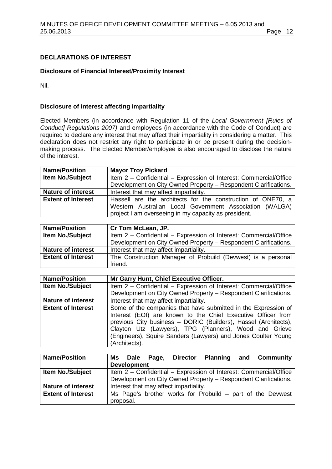# **DECLARATIONS OF INTEREST**

#### **Disclosure of Financial Interest/Proximity Interest**

Nil.

# **Disclosure of interest affecting impartiality**

Elected Members (in accordance with Regulation 11 of the *Local Government [Rules of Conduct] Regulations 2007)* and employees (in accordance with the Code of Conduct) are required to declare any interest that may affect their impartiality in considering a matter. This declaration does not restrict any right to participate in or be present during the decisionmaking process. The Elected Member/employee is also encouraged to disclose the nature of the interest.

| <b>Name/Position</b>      | <b>Mayor Troy Pickard</b>                                         |  |  |
|---------------------------|-------------------------------------------------------------------|--|--|
| <b>Item No./Subject</b>   | Item 2 - Confidential - Expression of Interest: Commercial/Office |  |  |
|                           | Development on City Owned Property - Respondent Clarifications.   |  |  |
| <b>Nature of interest</b> | Interest that may affect impartiality.                            |  |  |
| <b>Extent of Interest</b> | Hassell are the architects for the construction of ONE70, a       |  |  |
|                           | Western Australian Local Government Association (WALGA)           |  |  |
|                           | project I am overseeing in my capacity as president.              |  |  |

| <b>Name/Position</b>      | Cr Tom McLean, JP.                                                |
|---------------------------|-------------------------------------------------------------------|
| <b>Item No./Subject</b>   | Item 2 - Confidential - Expression of Interest: Commercial/Office |
|                           | Development on City Owned Property - Respondent Clarifications.   |
| <b>Nature of interest</b> | Interest that may affect impartiality.                            |
| <b>Extent of Interest</b> | The Construction Manager of Probuild (Devwest) is a personal      |
|                           | friend.                                                           |

| <b>Name/Position</b>      | Mr Garry Hunt, Chief Executive Officer.                           |
|---------------------------|-------------------------------------------------------------------|
| <b>Item No./Subject</b>   | Item 2 - Confidential - Expression of Interest: Commercial/Office |
|                           | Development on City Owned Property - Respondent Clarifications.   |
| <b>Nature of interest</b> | Interest that may affect impartiality.                            |
| <b>Extent of Interest</b> | Some of the companies that have submitted in the Expression of    |
|                           | Interest (EOI) are known to the Chief Executive Officer from      |
|                           | previous City business - DORIC (Builders), Hassel (Architects),   |
|                           | Clayton Utz (Lawyers), TPG (Planners), Wood and Grieve            |
|                           | (Engineers), Squire Sanders (Lawyers) and Jones Coulter Young     |
|                           | (Architects).                                                     |

| <b>Name/Position</b>      | Ms Dale                                | Page. | <b>Director</b> |                                                                   | <b>Planning and Community</b> |
|---------------------------|----------------------------------------|-------|-----------------|-------------------------------------------------------------------|-------------------------------|
|                           | <b>Development</b>                     |       |                 |                                                                   |                               |
| <b>Item No./Subject</b>   |                                        |       |                 | Item 2 - Confidential - Expression of Interest: Commercial/Office |                               |
|                           |                                        |       |                 | Development on City Owned Property - Respondent Clarifications.   |                               |
| <b>Nature of interest</b> | Interest that may affect impartiality. |       |                 |                                                                   |                               |
| <b>Extent of Interest</b> |                                        |       |                 | Ms Page's brother works for Probuild – part of the Devwest        |                               |
|                           | proposal.                              |       |                 |                                                                   |                               |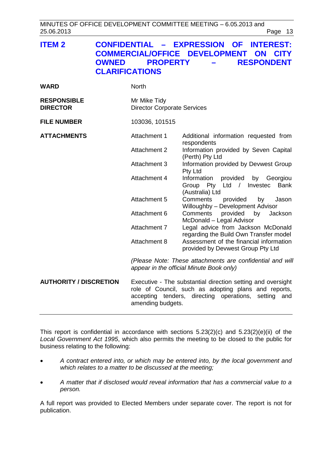MINUTES OF OFFICE DEVELOPMENT COMMITTEE MEETING – 6.05.2013 and 25.06.2013 Page 13

<span id="page-12-0"></span>

| <b>ITEM 2</b>                         | CONFIDENTIAL - EXPRESSION OF INTEREST:<br><b>COMMERCIAL/OFFICE DEVELOPMENT ON CITY</b><br><b>RESPONDENT</b><br><b>OWNED PROPERTY</b><br><b>Contract Contract Contract</b><br><b>CLARIFICATIONS</b> |
|---------------------------------------|----------------------------------------------------------------------------------------------------------------------------------------------------------------------------------------------------|
| WARD                                  | <b>North</b>                                                                                                                                                                                       |
| <b>RESPONSIBLE</b><br><b>DIRECTOR</b> | Mr Mike Tidy<br><b>Director Corporate Services</b>                                                                                                                                                 |

**FILE NUMBER** 103036, 101515

**ATTACHMENTS** Attachment 1 Additional information requested from respondents Attachment 2 Information provided by Seven Capital (Perth) Pty Ltd Attachment 3 Information provided by Devwest Group Pty Ltd Attachment 4 Information provided by Georgiou Group Pty Ltd / Investec Bank (Australia) Ltd Attachment 5 Comments provided by Jason Willoughby – Development Advisor<br>Comments provided by Jac Attachment 6 Comments provided by Jackson McDonald – Legal Advisor Attachment 7 Legal advice from Jackson McDonald regarding the Build Own Transfer model Attachment 8 Assessment of the financial information provided by Devwest Group Pty Ltd

> *(Please Note: These attachments are confidential and will appear in the official Minute Book only)*

**AUTHORITY / DISCRETION** Executive - The substantial direction setting and oversight role of Council, such as adopting plans and reports, accepting tenders, directing operations, setting and amending budgets.

This report is confidential in accordance with sections 5.23(2)(c) and 5.23(2)(e)(ii) of the *Local Government Act 1995*, which also permits the meeting to be closed to the public for business relating to the following:

- *A contract entered into, or which may be entered into, by the local government and which relates to a matter to be discussed at the meeting;*
- *A matter that if disclosed would reveal information that has a commercial value to a person.*

A full report was provided to Elected Members under separate cover. The report is not for publication.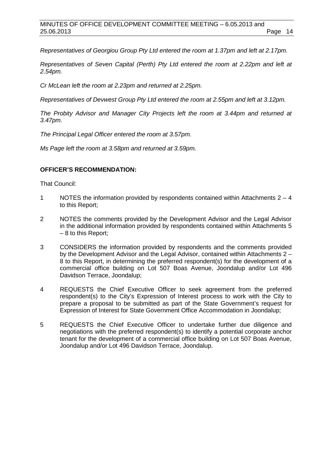*Representatives of Georgiou Group Pty Ltd entered the room at 1.37pm and left at 2.17pm.*

*Representatives of Seven Capital (Perth) Pty Ltd entered the room at 2.22pm and left at 2.54pm.*

*Cr McLean left the room at 2.23pm and returned at 2.25pm.*

*Representatives of Devwest Group Pty Ltd entered the room at 2.55pm and left at 3.12pm.*

*The Probity Advisor and Manager City Projects left the room at 3.44pm and returned at 3.47pm.*

*The Principal Legal Officer entered the room at 3.57pm.*

*Ms Page left the room at 3.58pm and returned at 3.59pm.*

# **OFFICER'S RECOMMENDATION:**

That Council:

- 1 NOTES the information provided by respondents contained within Attachments 2 4 to this Report;
- 2 NOTES the comments provided by the Development Advisor and the Legal Advisor in the additional information provided by respondents contained within Attachments 5 – 8 to this Report;
- 3 CONSIDERS the information provided by respondents and the comments provided by the Development Advisor and the Legal Advisor, contained within Attachments 2 – 8 to this Report, in determining the preferred respondent(s) for the development of a commercial office building on Lot 507 Boas Avenue, Joondalup and/or Lot 496 Davidson Terrace, Joondalup;
- 4 REQUESTS the Chief Executive Officer to seek agreement from the preferred respondent(s) to the City's Expression of Interest process to work with the City to prepare a proposal to be submitted as part of the State Government's request for Expression of Interest for State Government Office Accommodation in Joondalup;
- 5 REQUESTS the Chief Executive Officer to undertake further due diligence and negotiations with the preferred respondent(s) to identify a potential corporate anchor tenant for the development of a commercial office building on Lot 507 Boas Avenue, Joondalup and/or Lot 496 Davidson Terrace, Joondalup.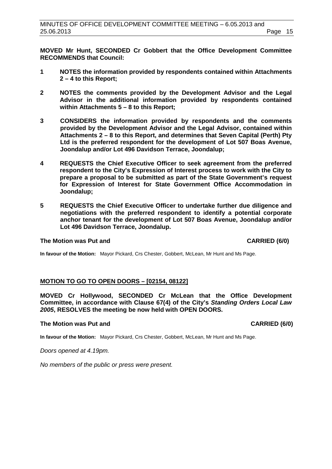**MOVED Mr Hunt, SECONDED Cr Gobbert that the Office Development Committee RECOMMENDS that Council:**

- **1 NOTES the information provided by respondents contained within Attachments 2 – 4 to this Report;**
- **2 NOTES the comments provided by the Development Advisor and the Legal Advisor in the additional information provided by respondents contained within Attachments 5 – 8 to this Report;**
- **3 CONSIDERS the information provided by respondents and the comments provided by the Development Advisor and the Legal Advisor, contained within Attachments 2 – 8 to this Report, and determines that Seven Capital (Perth) Pty Ltd is the preferred respondent for the development of Lot 507 Boas Avenue, Joondalup and/or Lot 496 Davidson Terrace, Joondalup;**
- **4 REQUESTS the Chief Executive Officer to seek agreement from the preferred respondent to the City's Expression of Interest process to work with the City to prepare a proposal to be submitted as part of the State Government's request for Expression of Interest for State Government Office Accommodation in Joondalup;**
- **5 REQUESTS the Chief Executive Officer to undertake further due diligence and negotiations with the preferred respondent to identify a potential corporate anchor tenant for the development of Lot 507 Boas Avenue, Joondalup and/or Lot 496 Davidson Terrace, Joondalup.**

# **The Motion was Put and CARRIED (6/0) CARRIED (6/0)**

**In favour of the Motion:** Mayor Pickard, Crs Chester, Gobbert, McLean, Mr Hunt and Ms Page.

# **MOTION TO GO TO OPEN DOORS – [02154, 08122]**

**MOVED Cr Hollywood, SECONDED Cr McLean that the Office Development Committee, in accordance with Clause 67(4) of the City's** *Standing Orders Local Law 2005***, RESOLVES the meeting be now held with OPEN DOORS.**

# **The Motion was Put and CARRIED (6/0) CARRIED (6/0)**

**In favour of the Motion:** Mayor Pickard, Crs Chester, Gobbert, McLean, Mr Hunt and Ms Page.

*Doors opened at 4.19pm.*

*No members of the public or press were present.*